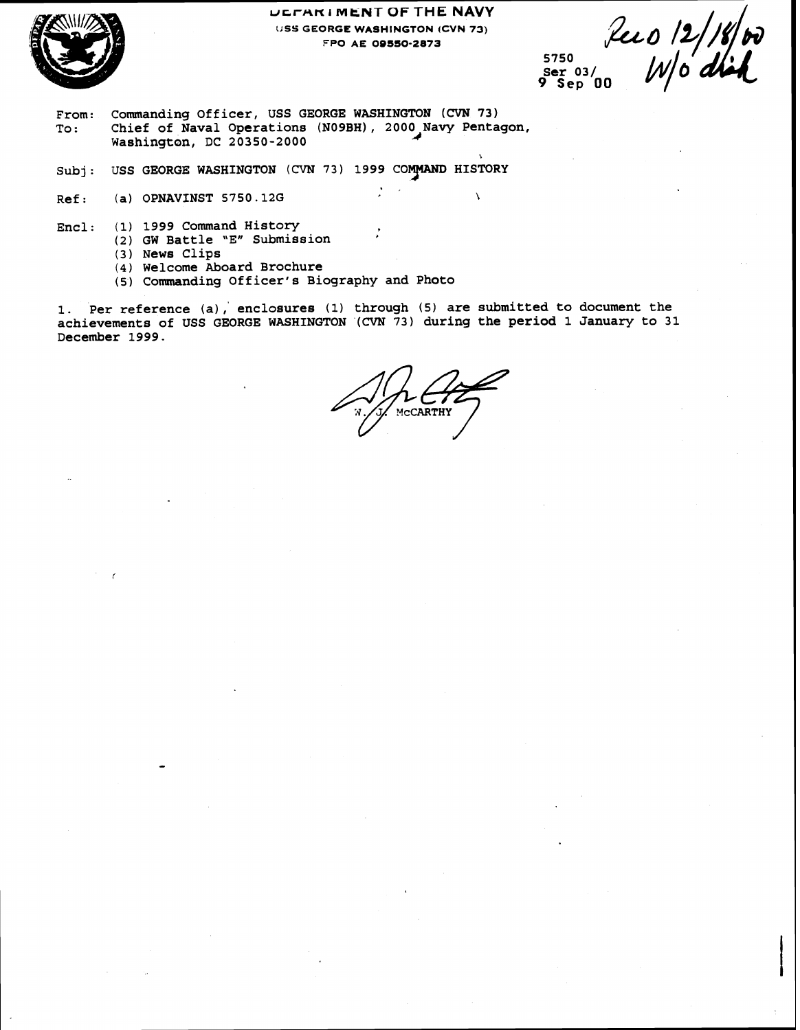

#### **ucrnm I MkNT OF THE NAVY LJSS GEORGE WASHINGTON (CVN 73) FPO AE OOSSO-2873**

. ,

**5750 9 Sep 00** 

Lee 0 12/18/00

- **From: Commanding Officer, USS GEORGE WASHINGTON** (CVN **73) To: Chief of Naval Operations (NO9BH)** , **2000 Navy Pentagon, Washington, DC 20350-2000**
- Subj: USS GEORGE WASHINGTON (CVN 73) 1999 COMMAND HISTORY
- **Ref:** (a) OPNAVINST 5750.12G
- **Encl: (1) 1999 Command History** 
	- **(2) GW Battle 'Etl Submission <sup>I</sup>**
	- **(3) News Clips**
	- **(4) Welcome Aboard Brochure**
	- **(5) Commanding Officer's Biography and Photo**

**1. Per reference (a),' enclosures (1) through (5) are submitted to document the achievements of USS GEORGE WASHINGTON (CVN 73) during the period 1 January to 31 December 1999.** 

CARTHY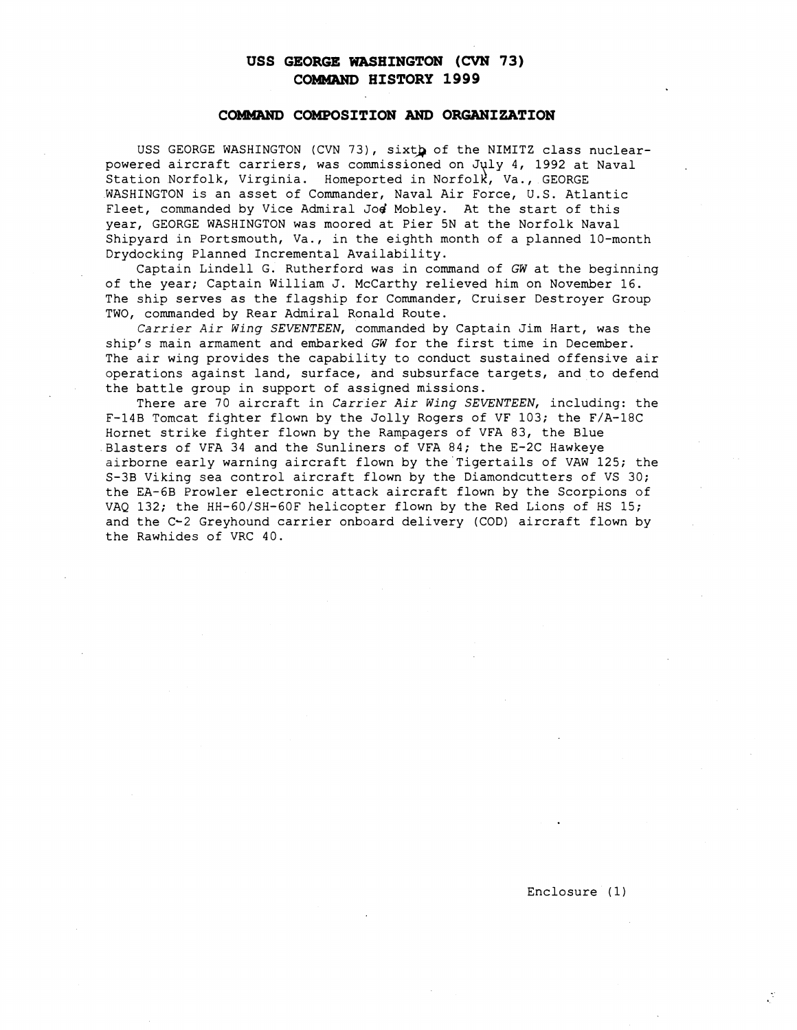## **USS GEORGE WASHINGTON** (CVN **73) COMMAND HISTORY 1999**

#### COMMAND COMPOSITION AND ORGANIZATION

USS GEORGE WASHINGTON (CVN 73), sixth of the NIMITZ class nuclearpowered aircraft carriers, was commissioned on July 4, 1992 at Naval Station Norfolk, Virginia. Homeported in Norfolk, Va., GEORGE WASHINGTON is an asset of Commander, Naval Air Force, U.S. Atlantic Fleet, commanded by Vice Admiral Jod Mobley. At the start of this year, GEORGE WASHINGTON was moored at Pier 5N at the Norfolk Naval Shipyard in Portsmouth, Va., in the eighth month of a planned 10-month Drydocking Planned Incremental Availability.

Captain Lindell G. Rutherford was in command of **GW** at the beginning of the year; Captain William J. McCarthy relieved him on November 16. The ship serves as the flagship for Commander, Cruiser Destroyer Group TWO, commanded by Rear Admiral Ronald Route.

*Carrier Air Wing* SEVENTEEN, commanded by Captain Jim Hart, was the ship's main armament and embarked **GW** for the first time in December. The air wing provides the capability to conduct sustained offensive air operations against land, surface, and subsurface targets, and to defend the battle group in support of assigned missions.

There are 70 aircraft in *Carrier Air Wing* SEVENTEEN, including: the F-14B Tomcat fighter flown by the Jolly Rogers of VF 103; the F/A-18C Hornet strike fighter flown by the Rampagers of VFA 83, the Blue Blasters of VFA 34 and the Sunliners of VFA 84; the E-2C Hawkeye airborne early warning aircraft flown by the Tigertails of VAW 125; the S-3B Viking sea control aircraft flown by the Diamondcutters of VS 30; the EA-6B Prowler electronic attack aircraft flown by the Scorpions of VAQ 132; the HH-60/SH-60F helicopter flown by the Red Lions of HS 15; and the C-2 Greyhound carrier onboard delivery (COD) aircraft flown by the Rawhides of VRC 40.

Enclosure (1)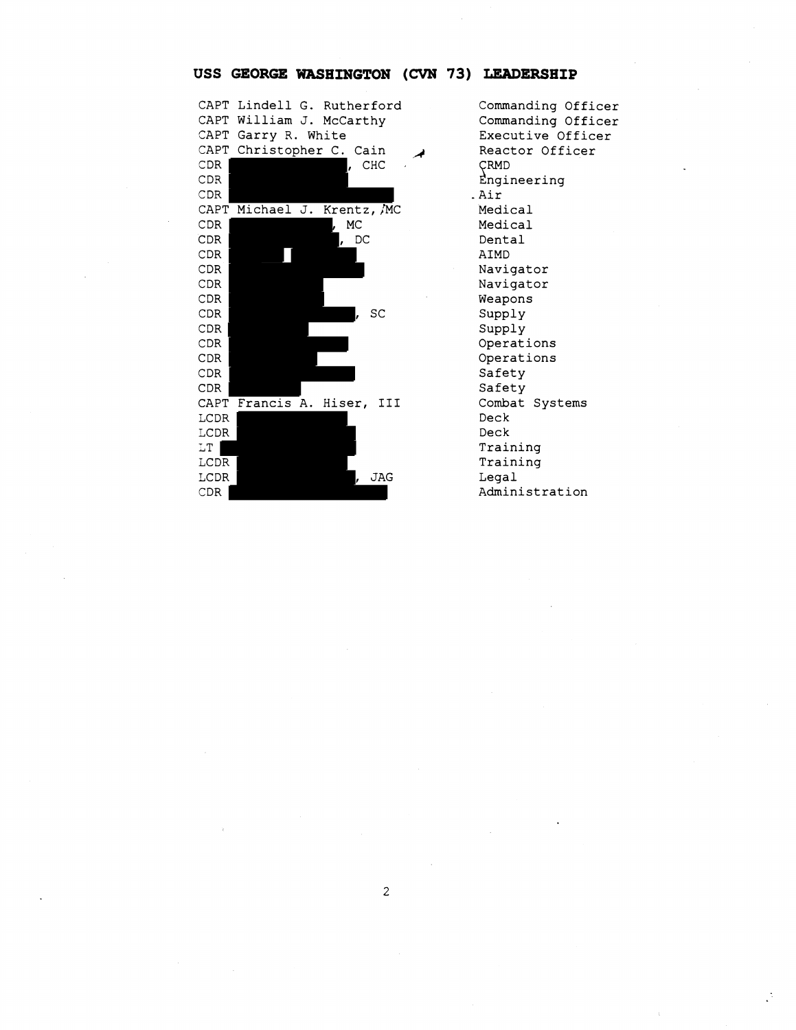#### CAPT Lindell **G.** Rutherford CAPT William J. McCarthy CAPT Garry R. White CAPT Christopher C. Cain CDR **b**, CHC CDR CDR CAPT Michael J. Krentz, MC CDR , MC CDR , DC CDR CDR CDR CDR CDR , SC CDR CDR CDR CDR CDR CAPT Francis A. Hiser, **I11**  LCDR LCDR LT | LCDR LCDR , JAG CDR

Commanding Officer Commanding Officer Executive Officer Reactor Officer CRMD Engineering Air Medical Medical Dental AIMD Navigator Navigator Weapons Supply Supply Operations Operations Safety Safety Combat Systems Deck Deck Training Training Legal Administration

#### **USS GEORGE WASHINGTON (CVN 73) LEADERSHIP**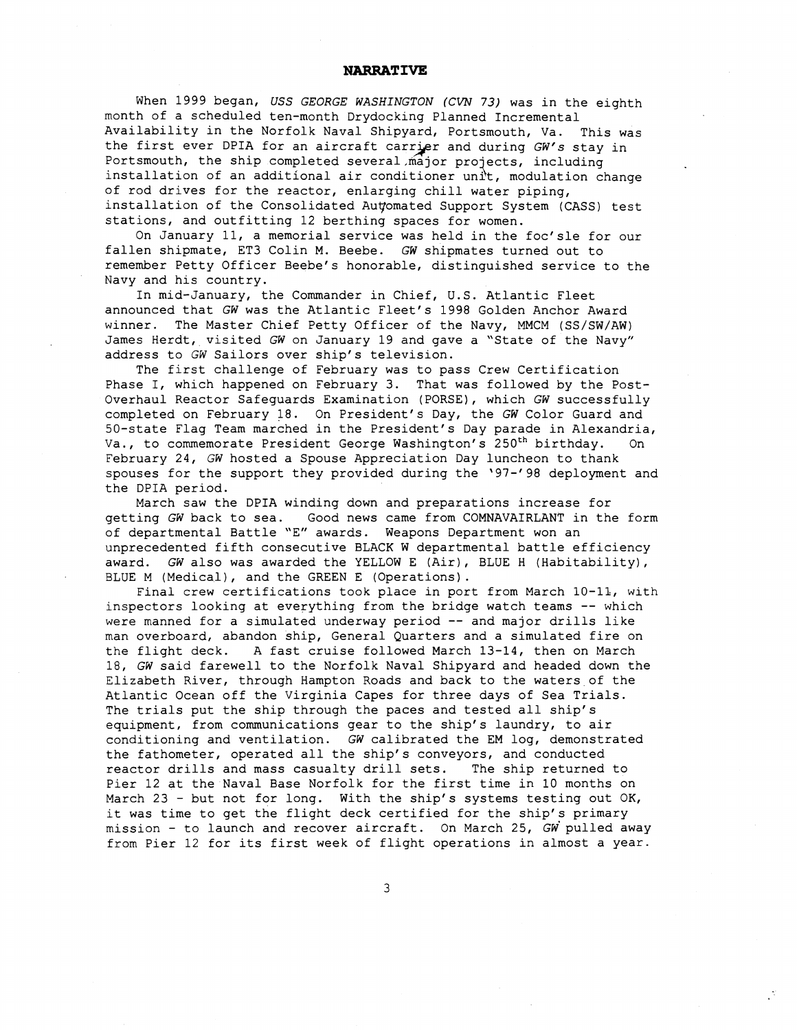#### **NARRATIVE**

When 1999 began, USS GEORGE WASHINGTON (CVN 73) was in the eighth month of a scheduled ten-month Drydocking Planned Incremental Availability in the Norfolk Naval Shipyard, Portsmouth, Va. This was the first ever DPIA for an aircraft carrier and during GW's stay in Portsmouth, the ship completed several major projects, including month of a scheduled ten-month Drydocking Planned Incremental<br>Availability in the Norfolk Naval Shipyard, Portsmouth, Va. This was<br>the first ever DPIA for an aircraft carrier and during *GW's* stay in<br>Portsmouth, the ship of rod drives for the reactor, enlarging chill water piping, installation of the Consolidated Auyomated Support System (CASS) test stations, and outfitting 12 berthing spaces for women.

On January 11, a memorial service was held in the foc'sle for our fallen shipmate, ET3 Colin M. Beebe. GW shipmates turned out to remember Petty Officer Beebe's honorable, distinguished service to the Navy and his country.

In mid-January, the Commander in Chief, U.S. Atlantic Fleet announced that GW was the Atlantic Fleet's 1998 Golden Anchor Award winner. The Master Chief Petty Officer of the Navy, MMCM (SS/SW/AW) James Herdt, visited GW on January 19 and gave a "State of the Navy" address to GW Sailors over ship's television.

The first challenge of February was to pass Crew Certification Phase I, which happened on February 3. That was followed by the Post-Overhaul Reactor Safeguards Examination (PORSE), which GW successfully completed on February 18. On President's Day, the GW Color Guard and 50-state Flag Team marched in the President's Day parade in Alexandria, Va., to commemorate President George Washington's 250<sup>th</sup> birthday. On February 24, GW hosted a Spouse Appreciation Day luncheon to thank spouses for the support they provided during the '97-'98 deployment and the DPIA period.

March saw the DPIA winding down and preparations increase for getting GW back to sea. Good news came from COMNAVAIRLANT in the form of departmental Battle "E" awards. Weapons Department won an unprecedented fifth consecutive BLACK W departmental battle efficiency award. GW also was awarded the YELLOW E (Air), BLUE H (Habitability), BLUE M (Medical), and the GREEN E (Operations).

Final crew certifications took place in port from March 10-11, with inspectors looking at everything from the bridge watch teams -- which were manned for a simulated underway period -- and major drills like man overboard, abandon ship, General Quarters and a simulated fire on the flight deck. A fast cruise followed March 13-14, then on March 18, GW said farewell to the Norfolk Naval Shipyard and headed down the Elizabeth River, through Hampton Roads and back to the waters of the Atlantic Ocean off the Virginia Capes for three days of Sea Trials. The trials put the ship through the paces and tested all ship's equipment, from communications gear to the ship's laundry, to air conditioning and ventilation. GW calibrated the EM log, demonstrated the fathometer, operated all the ship's conveyors, and conducted reactor drills and mass casualty drill sets. The ship returned to Pier 12 at the Naval Base Norfolk for the first time in 10 months on March 23 - but not for long. With the ship's systems testing out OK, it was time to get the flight deck certified for the ship's primary mission - to launch and recover aircraft. On March 25,  $GW$  pulled away from Pier 12 for its first week of flight operations in almost a year.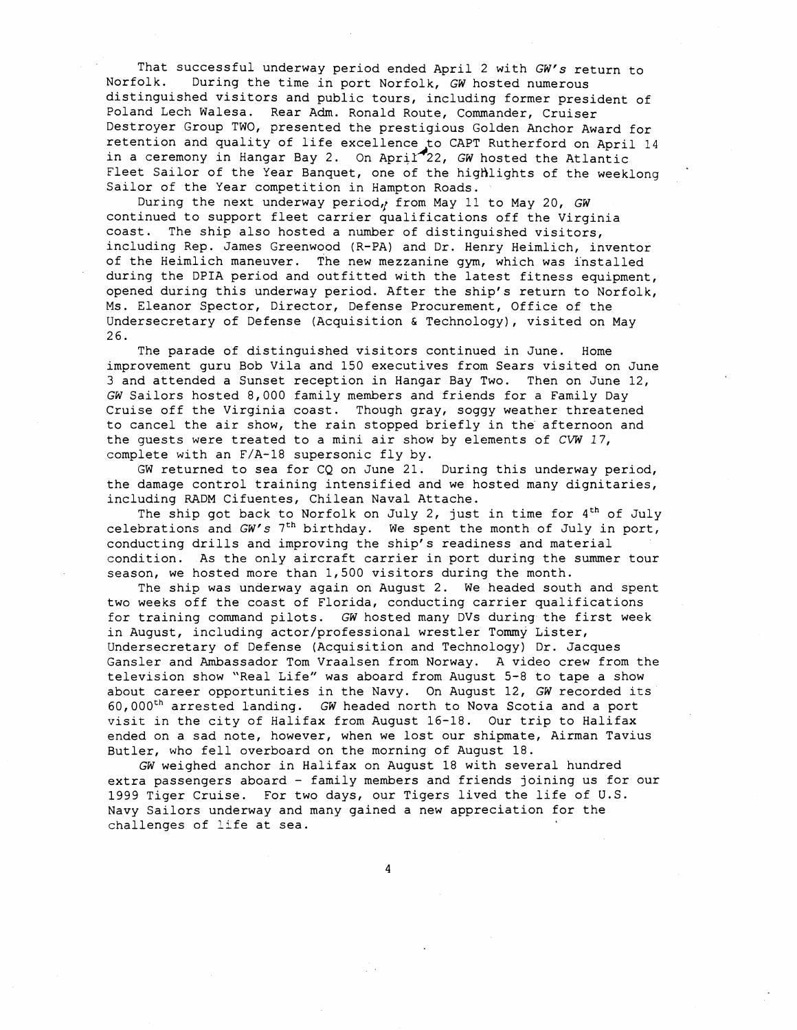That successful underway period ended April 2 with GW's return to<br>Norfolk. During the time in port Norfolk. GW hosted numerous During the time in port Norfolk, GW hosted numerous distinguished visitors and public tours, including former president of Poland Lech Walesa. Rear Adm. Ronald Route, Commander, Cruiser Destroyer Group TWO, presented the prestigious Golden Anchor Award for retention and quality of life excellence to CAPT Rutherford on April 14<br>in a ceremony in Hangar Bay 2. On April 22, *GW* hosted the Atlantic Fleet Sailor of the Year Banquet, one of the highlights of the weeklong Sailor of the Year competition in Hampton Roads.

During the next underway period, from May 11 to May 20, GW continued to support fleet carrier qualifications off the Virginia coast. The ship also hosted a number of distinguished visitors, including Rep. James Greenwood (R-PA) and Dr. Henry Heimlich, inventor of the Heimlich maneuver. The new mezzanine gym, which was installed during the DPIA period and outfitted with the latest fitness equipment, opened during this underway period. After the ship's return to Norfolk, Ms. Eleanor Spector, Director, Defense Procurement, Office of the Undersecretary of Defense (Acquisition & Technology), visited on May 26.

The parade of distinguished visitors continued in June. Home improvement guru Bob Vila and 150 executives from Sears visited on June 3 and attended a Sunset reception in Hangar Bay Two. Then on June 12, GW Sailors hosted 8,000 family members and friends for a Family Day Cruise off the Virginia coast. Though gray, soggy weather threatened to cancel the air show, the rain stopped briefly in the afternoon and the guests were treated to a mini air show by elements of *CVW* 17, complete with an F/A-18 supersonic fly by.

GW returned to sea for CQ on June 21. During this underway period, the damage control training intensified and we hosted many dignitaries, including RADM Cifuentes, Chilean Naval Attache.

The ship got back to Norfolk on July 2, just in time for **4th** of July celebrations and GW's **7th** birthday. We spent the month of July in port, conducting drills and improving the ship's readiness and material condition. As the only aircraft carrier in port during the summer tour season, we hosted more than 1,500 visitors during the month.

The ship was underway again on August 2. We headed south and spent two weeks off the coast of Florida, conducting carrier qualifications for training command pilots. GW hosted many DVs during the first week in August, including actor/professional wrestler Tommy Lister, Undersecretary of Defense (Acquisition and Technology) Dr. Jacques Gansler and Ambassador Tom Vraalsen from Norway. A video crew from the television show "Real Life" was aboard from August 5-8 to tape a show about career opportunities in the Navy. On August 12, GW recorded its  $60,000<sup>th</sup>$  arrested landing. GW headed north to Nova Scotia and a port visit in the city of Halifax from August 16-18. Our trip to Halifax ended on a sad note, however, when we lost our shipmate, Airman Tavius Butler, who fell overboard on the morning of August 18.

GW weighed anchor in Halifax on August 18 with several hundred extra passengers aboard - family members and friends joining us for our 1999 Tiger Cruise. For two days, our Tigers lived the life of U.S. Navy Sailors underway and many gained a new appreciation for the challenges of life at sea.

4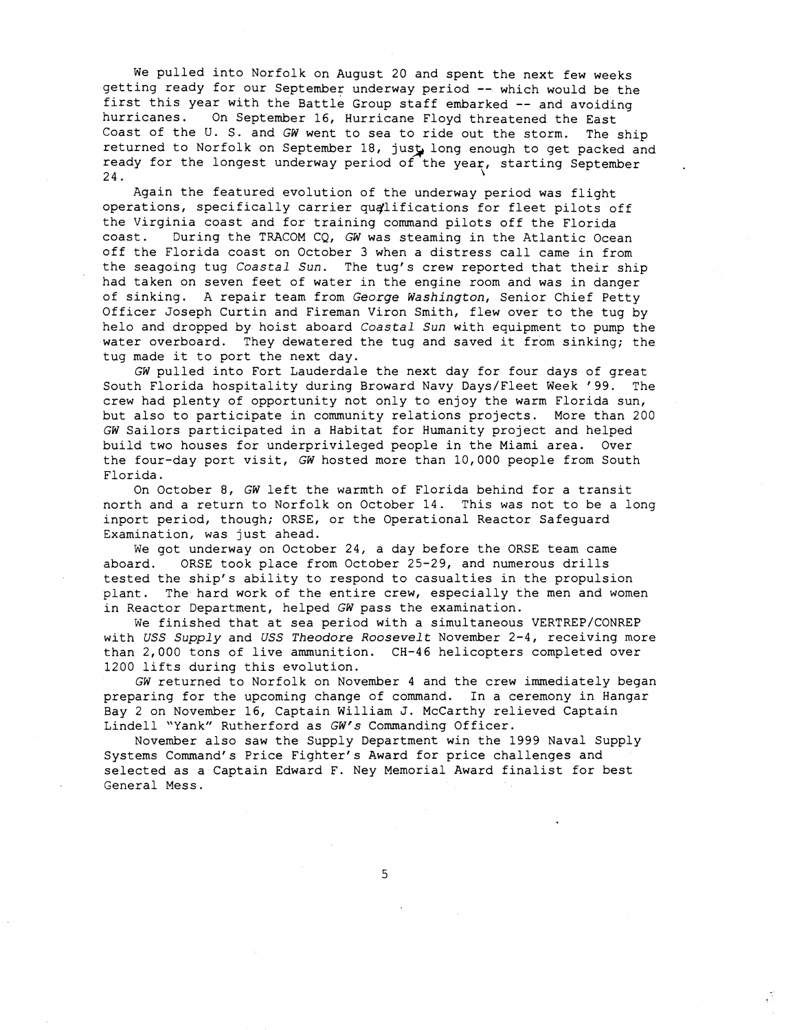We pulled into Norfolk on August 20 and spent the next few weeks getting ready for our September underway period -- which would be the first this year with the Battle Group staff embarked -- and avoiding<br>hurricanes. On September 16, Hurricane Floyd threatened the Fast On September 16, Hurricane Floyd threatened the East Coast of the U. S. and GW went to sea to ride out the storm. The ship returned to Norfolk on September 18, just long enough to get packed and ready for the longest underway period of the year, starting September 24. 24. **\I** 

Again the featured evolution of the underway period was flight operations, specifically carrier qualifications for fleet pilots off the Virginia coast and for training command pilots off the Florida coast. During the TRACOM CQ, **GW** was steaming in the Atlantic Ocean off the Florida coast on October 3 when a distress call came in from the seagoing tug *Coastal* Sun. The tug's crew reported that their ship had taken on seven feet of water in the engine room and was in danger of sinking. A repair team from George Washington, Senior Chief Petty Officer Joseph Curtin and Fireman Viron Smith, flew over to the tug by helo and dropped by hoist aboard *Coastal* Sun with equipment to pump the water overboard. They dewatered the tug and saved it from sinking; the tug made it to port the next day.

GW pulled into Fort Lauderdale the next day for four days of great South Florida hospitality during Broward Navy Days/Fleet Week '99. The crew had plenty of opportunity not only to enjoy the warm Florida sun, but also to participate in community relations projects. More than 200 GW Sailors participated in a Habitat for Humanity project and helped build two houses for underprivileged people in the Miami area. Over the four-day port visit, GW hosted more than 10,000 people from South Florida.

On October 8, GW left the warmth of Florida behind for a transit north and a return to Norfolk on October 14. This was not to be a long inport period, though; ORSE, or the Operational Reactor Safeguard Examination, was just ahead.

We got underway on October 24, a day before the ORSE team came aboard. ORSE took place from October 25-29, and numerous drills tested the ship's ability to respond to casualties in the propulsion plant. The hard work of the entire crew, especially the men and women in Reactor Department, helped GW pass the examination.

We finished that at sea period with a simultaneous VERTREP/CONREP with USS Supply and USS Theodore Roosevelt November 2-4, receiving more than 2,000 tons of live ammunition. CH-46 helicopters completed over 1200 lifts during this evolution.

GW returned to Norfolk on November 4 and the crew immediately began preparing for the upcoming change of command. In a ceremony in Hangar Bay 2 on November 16, Captain William J. McCarthy relieved Captain Lindell "Yank" Rutherford as GW's Commanding Officer.

November also saw the Supply Department win the 1999 Naval Supply Systems Command's Price Fighter's Award for price challenges and selected as a Captain Edward F. Ney Memorial Award finalist for best General Mess.

5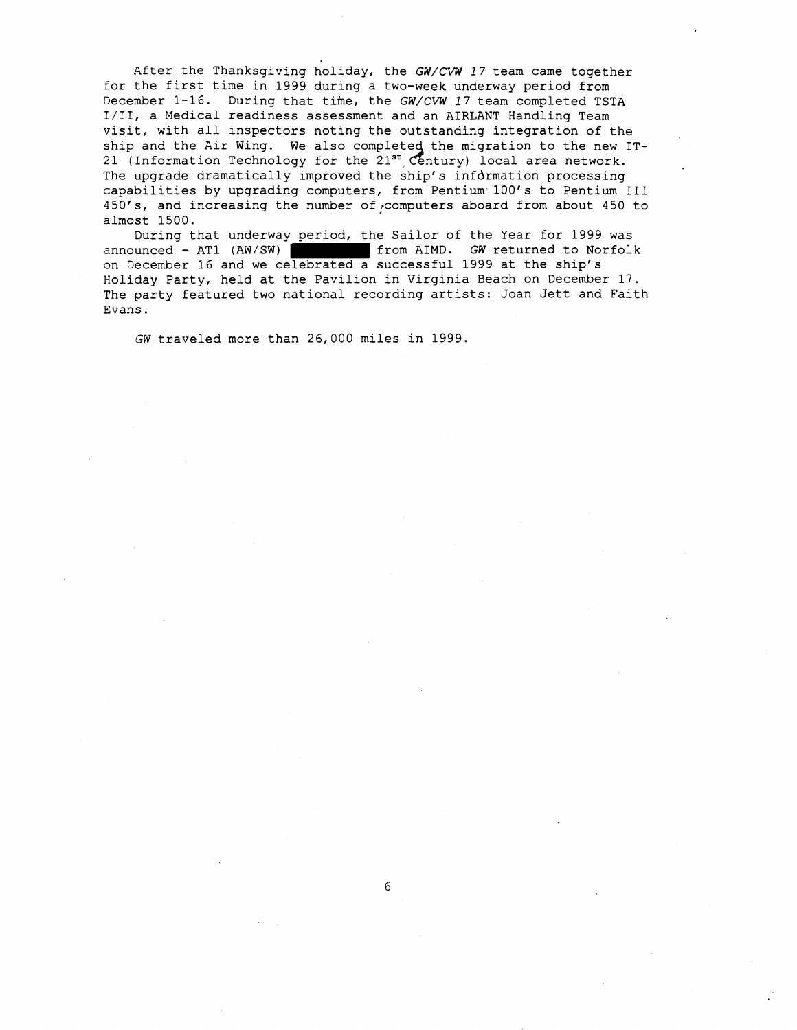After the Thanksgiving holiday, the *GW/CVW* 17 team came together for the first time in 1999 during a two-week underway period from December 1-16. During that time, the *GW/CVW* 17 team completed TSTA 1/11, a Medical readiness assessment and an AIRLANT Handling Team visit, with all inspectors noting the outstanding integration of the ship and the Air Wing. We also completed the migration to the new IT-21 (Information Technology for the  $21^{st}$  Century) local area network. The upgrade dramatically improved the ship's infdrmation processing capabilities by upgrading computers, from Pentium 100's to Pentium I11 450's, and increasing the number of computers aboard from about 450 to almost 1500.

During that underway period, the Sailor of the Year for 1999 was announced - AT1 (AW/SW) from AIMD. *GW* returned to Norfolk on December 16 and we celebrated a successful 1999 at the ship's Holiday Party, held at the Pavilion in Virginia Beach on December 17. The party featured two national recording artists: Joan Jett and Faith Evans.

**GW** traveled more than 26,000 miles in 1999.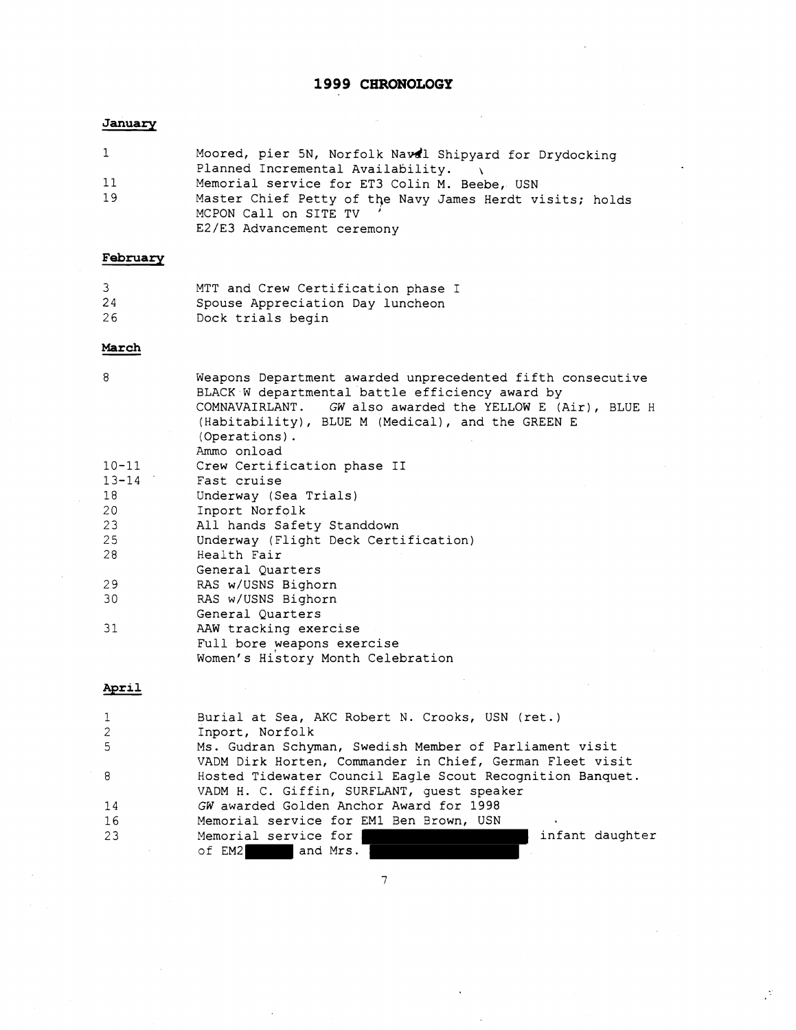# **1999 CHRONOLOGY**

#### **January**

| $\mathbf{1}$ | Moored, pier 5N, Norfolk Naval Shipyard for Drydocking                            |
|--------------|-----------------------------------------------------------------------------------|
|              | Planned Incremental Availability.                                                 |
| 11           | Memorial service for ET3 Colin M. Beebe, USN                                      |
| 19           | Master Chief Petty of the Navy James Herdt visits; holds<br>MCPON Call on SITE TV |
|              |                                                                                   |
|              | E2/E3 Advancement ceremony                                                        |

# **February**

| 3  | MTT and Crew Certification phase I |
|----|------------------------------------|
| 24 | Spouse Appreciation Day luncheon   |
| 26 | Dock trials begin                  |

#### March

| 8         | Weapons Department awarded unprecedented fifth consecutive |
|-----------|------------------------------------------------------------|
|           | BLACK W departmental battle efficiency award by            |
|           | COMNAVAIRLANT. GW also awarded the YELLOW E (Air), BLUE H  |
|           | (Habitability), BLUE M (Medical), and the GREEN E          |
|           | (Operations).                                              |
|           | Ammo onload                                                |
| $10 - 11$ | Crew Certification phase II                                |
| $13 - 14$ | Fast cruise                                                |
|           |                                                            |
| 18        | Underway (Sea Trials)                                      |
| 20        | Inport Norfolk                                             |
| 23        | All hands Safety Standdown                                 |
| 25        | Underway (Flight Deck Certification)                       |
| 28        | Health Fair                                                |
|           | General Quarters                                           |
| 29        | RAS w/USNS Bighorn                                         |
| 30        | RAS w/USNS Bighorn                                         |
|           | General Quarters                                           |
| 31        | AAW tracking exercise                                      |
|           | Full bore weapons exercise                                 |
|           | Women's History Month Celebration                          |
|           |                                                            |

# April

| $\mathbf{1}$ | Burial at Sea, AKC Robert N. Crooks, USN (ret.)           |
|--------------|-----------------------------------------------------------|
| 2            | Inport, Norfolk                                           |
| -5           | Ms. Gudran Schyman, Swedish Member of Parliament visit    |
|              | VADM Dirk Horten, Commander in Chief, German Fleet visit  |
| 8            | Hosted Tidewater Council Eagle Scout Recognition Banquet. |
|              | VADM H. C. Giffin, SURFLANT, guest speaker                |
| 14           | GW awarded Golden Anchor Award for 1998                   |
| 16           | Memorial service for EM1 Ben Brown, USN                   |
| 23           | infant daughter<br>Memorial service for                   |
|              | and Mrs.<br>of EM2                                        |

 $\overline{7}$ 

 $\mathcal{I}$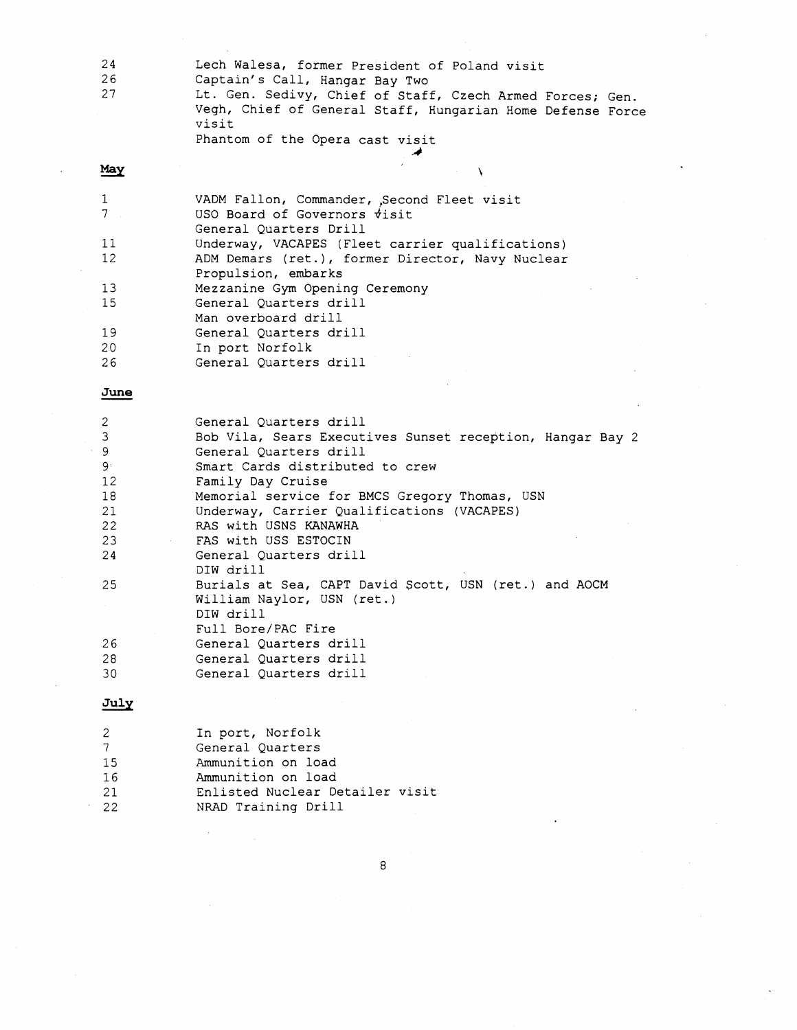| 24    | Lech Walesa, former President of Poland visit                                                                                    |
|-------|----------------------------------------------------------------------------------------------------------------------------------|
| 26    | Captain's Call, Hangar Bay Two                                                                                                   |
| 27    | Lt. Gen. Sedivy, Chief of Staff, Czech Armed Forces; Gen.<br>Vegh, Chief of General Staff, Hungarian Home Defense Force<br>visit |
|       | Phantom of the Opera cast visit                                                                                                  |
| Mess- |                                                                                                                                  |

| May               |                                                  |
|-------------------|--------------------------------------------------|
|                   | VADM Fallon, Commander, Second Fleet visit       |
|                   | USO Board of Governors $\dot{\tau}$ isit         |
|                   | General Quarters Drill                           |
| 11                | Underway, VACAPES (Fleet carrier qualifications) |
| $12 \overline{ }$ | ADM Demars (ret.), former Director, Navy Nuclear |
|                   | Propulsion, embarks                              |
| 13                | Mezzanine Gym Opening Ceremony                   |
| 15                | General Ouarters drill                           |
|                   | Man overboard drill                              |
| 19                | General Quarters drill                           |
| 20                | In port Norfolk                                  |
| 26                | General Ouarters drill                           |
|                   |                                                  |
| June              |                                                  |
|                   | Conoral Ouartors drill                           |

| 2           | General Ouarters drill                                    |
|-------------|-----------------------------------------------------------|
| 3           | Bob Vila, Sears Executives Sunset reception, Hangar Bay 2 |
| 9           | General Ouarters drill                                    |
| $9^{\circ}$ | Smart Cards distributed to crew                           |
| 12          | Family Day Cruise                                         |
| 18          | Memorial service for BMCS Gregory Thomas, USN             |
| 21          | Underway, Carrier Qualifications (VACAPES)                |
| 22          | RAS with USNS KANAWHA                                     |
| 23          | FAS with USS ESTOCIN                                      |
| 24          | General Ouarters drill                                    |
|             | DIW drill                                                 |
| 25          | Burials at Sea, CAPT David Scott, USN (ret.) and AOCM     |
|             | William Naylor, USN (ret.)                                |
|             | DIW drill                                                 |
|             | Full Bore/PAC Fire                                        |
| 26          | General Ouarters drill                                    |
| 28          | General Ouarters drill                                    |
| 30          | General Ouarters drill                                    |

# $July$

| -2 | In port, Norfolk                |
|----|---------------------------------|
| 7  | General Ouarters                |
| 15 | Ammunition on load              |
| 16 | Ammunition on load              |
| 21 | Enlisted Nuclear Detailer visit |
| 22 | NRAD Training Drill             |

 $\,8\,$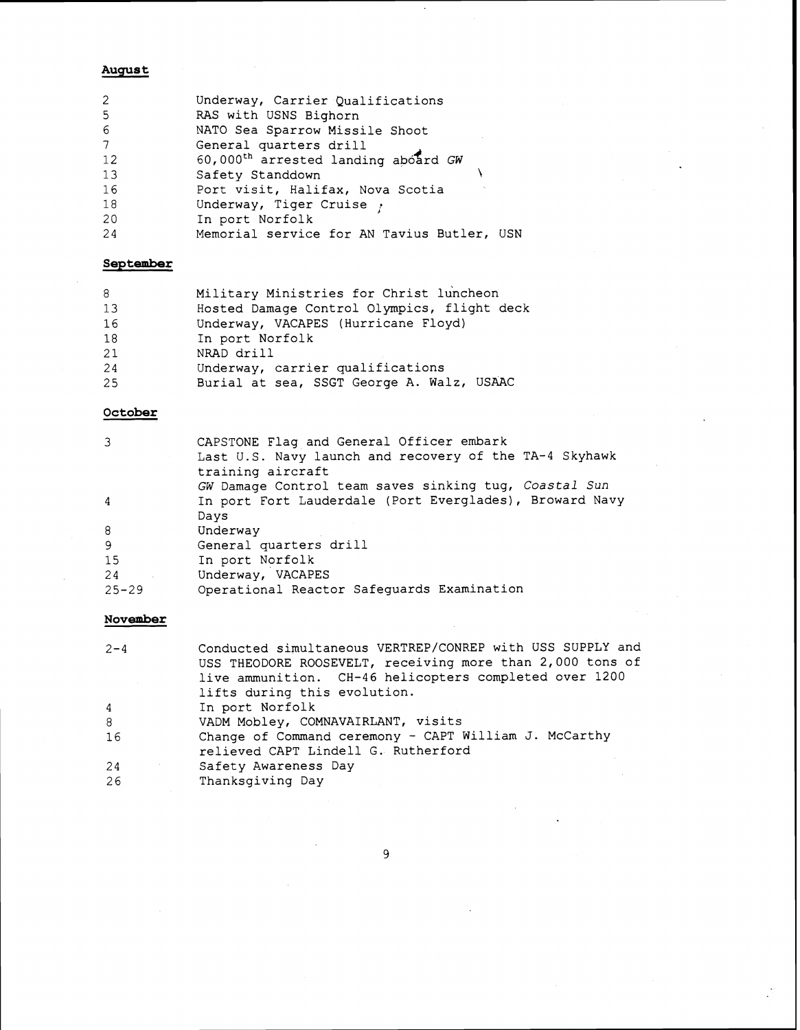#### **August**

| 2              | Underway, Carrier Qualifications                |
|----------------|-------------------------------------------------|
| -5             | RAS with USNS Bighorn                           |
| -6             | NATO Sea Sparrow Missile Shoot                  |
| $\overline{7}$ | General quarters drill                          |
| 12             | 60,000 <sup>th</sup> arrested landing aboard GW |
| 13             | Safety Standdown                                |
| 16             | Port visit, Halifax, Nova Scotia                |
| 18             | Underway, Tiger Cruise $\gamma$                 |
| -20            | In port Norfolk                                 |
| 24             | Memorial service for AN Tavius Butler, USN      |
|                |                                                 |

### **September**

| 8  | Military Ministries for Christ luncheon     |
|----|---------------------------------------------|
| 13 | Hosted Damage Control Olympics, flight deck |
| 16 | Underway, VACAPES (Hurricane Floyd)         |
| 18 | In port Norfolk                             |
| 21 | NRAD drill                                  |
| 24 | Underway, carrier qualifications            |
| 25 | Burial at sea, SSGT George A. Walz, USAAC   |

# **October**

| 3              | CAPSTONE Flag and General Officer embark<br>Last U.S. Navy launch and recovery of the TA-4 Skyhawk<br>training aircraft<br>GW Damage Control team saves sinking tug, Coastal Sun |
|----------------|----------------------------------------------------------------------------------------------------------------------------------------------------------------------------------|
| $\overline{4}$ | In port Fort Lauderdale (Port Everglades), Broward Navy<br>Days                                                                                                                  |
| 8              | Underway                                                                                                                                                                         |
| 9              | General quarters drill                                                                                                                                                           |
| 15             | In port Norfolk                                                                                                                                                                  |
| 24             | Underway, VACAPES                                                                                                                                                                |
| $25 - 29$      | Operational Reactor Safeguards Examination                                                                                                                                       |

# **November**

| $2 - 4$        | Conducted simultaneous VERTREP/CONREP with USS SUPPLY and<br>USS THEODORE ROOSEVELT, receiving more than 2,000 tons of<br>live ammunition. CH-46 helicopters completed over 1200 |
|----------------|----------------------------------------------------------------------------------------------------------------------------------------------------------------------------------|
|                | lifts during this evolution.                                                                                                                                                     |
| $\overline{4}$ | In port Norfolk                                                                                                                                                                  |
| 8              | VADM Mobley, COMNAVAIRLANT, visits                                                                                                                                               |
| 16             | Change of Command ceremony - CAPT William J. McCarthy<br>relieved CAPT Lindell G. Rutherford                                                                                     |
| 24             | Safety Awareness Day                                                                                                                                                             |
| 26             | Thanksgiving Day                                                                                                                                                                 |

 $\overline{9}$